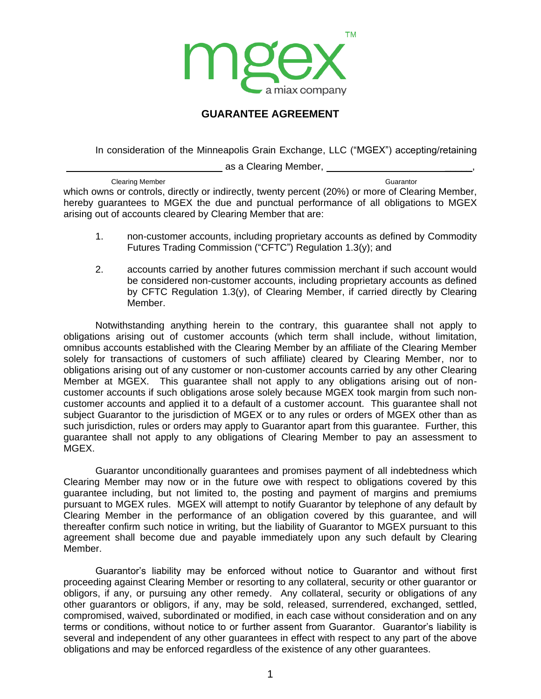

## **GUARANTEE AGREEMENT**

In consideration of the Minneapolis Grain Exchange, LLC ("MGEX") accepting/retaining

| as a Clearing Member, |  |
|-----------------------|--|
|                       |  |

Clearing Member Guarantor Clearing Member Guarantor Clearing Member Guarantor Clearing Member Guarantor which owns or controls, directly or indirectly, twenty percent (20%) or more of Clearing Member, hereby guarantees to MGEX the due and punctual performance of all obligations to MGEX arising out of accounts cleared by Clearing Member that are:

- 1. non-customer accounts, including proprietary accounts as defined by Commodity Futures Trading Commission ("CFTC") Regulation 1.3(y); and
- 2. accounts carried by another futures commission merchant if such account would be considered non-customer accounts, including proprietary accounts as defined by CFTC Regulation 1.3(y), of Clearing Member, if carried directly by Clearing Member.

Notwithstanding anything herein to the contrary, this guarantee shall not apply to obligations arising out of customer accounts (which term shall include, without limitation, omnibus accounts established with the Clearing Member by an affiliate of the Clearing Member solely for transactions of customers of such affiliate) cleared by Clearing Member, nor to obligations arising out of any customer or non-customer accounts carried by any other Clearing Member at MGEX. This guarantee shall not apply to any obligations arising out of noncustomer accounts if such obligations arose solely because MGEX took margin from such noncustomer accounts and applied it to a default of a customer account. This guarantee shall not subject Guarantor to the jurisdiction of MGEX or to any rules or orders of MGEX other than as such jurisdiction, rules or orders may apply to Guarantor apart from this guarantee. Further, this guarantee shall not apply to any obligations of Clearing Member to pay an assessment to MGEX.

Guarantor unconditionally guarantees and promises payment of all indebtedness which Clearing Member may now or in the future owe with respect to obligations covered by this guarantee including, but not limited to, the posting and payment of margins and premiums pursuant to MGEX rules. MGEX will attempt to notify Guarantor by telephone of any default by Clearing Member in the performance of an obligation covered by this guarantee, and will thereafter confirm such notice in writing, but the liability of Guarantor to MGEX pursuant to this agreement shall become due and payable immediately upon any such default by Clearing Member.

Guarantor's liability may be enforced without notice to Guarantor and without first proceeding against Clearing Member or resorting to any collateral, security or other guarantor or obligors, if any, or pursuing any other remedy. Any collateral, security or obligations of any other guarantors or obligors, if any, may be sold, released, surrendered, exchanged, settled, compromised, waived, subordinated or modified, in each case without consideration and on any terms or conditions, without notice to or further assent from Guarantor. Guarantor's liability is several and independent of any other guarantees in effect with respect to any part of the above obligations and may be enforced regardless of the existence of any other guarantees.